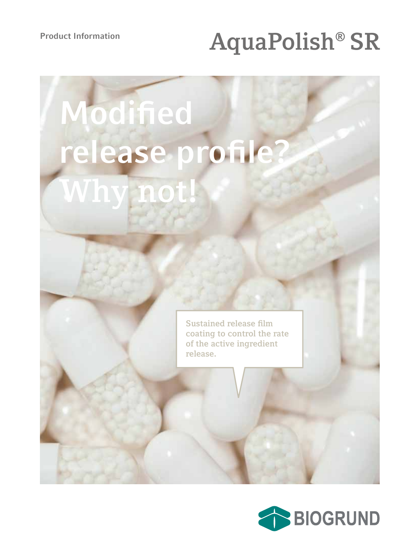## **Product Information AquaPolish® SR**

# **Modified release profile? Why not!**

**Sustained release film coating to control the rate of the active ingredient release.**